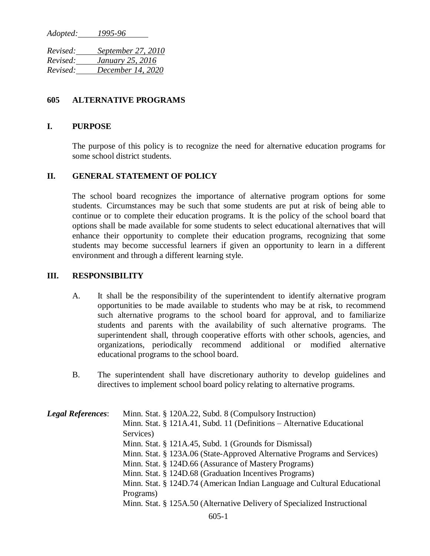*Adopted: 1995-96* 

*Revised: September 27, 2010 Revised: January 25, 2016 Revised: December 14, 2020*

## **605 ALTERNATIVE PROGRAMS**

## **I. PURPOSE**

The purpose of this policy is to recognize the need for alternative education programs for some school district students.

## **II. GENERAL STATEMENT OF POLICY**

The school board recognizes the importance of alternative program options for some students. Circumstances may be such that some students are put at risk of being able to continue or to complete their education programs. It is the policy of the school board that options shall be made available for some students to select educational alternatives that will enhance their opportunity to complete their education programs, recognizing that some students may become successful learners if given an opportunity to learn in a different environment and through a different learning style.

## **III. RESPONSIBILITY**

- A. It shall be the responsibility of the superintendent to identify alternative program opportunities to be made available to students who may be at risk, to recommend such alternative programs to the school board for approval, and to familiarize students and parents with the availability of such alternative programs. The superintendent shall, through cooperative efforts with other schools, agencies, and organizations, periodically recommend additional or modified alternative educational programs to the school board.
- B. The superintendent shall have discretionary authority to develop guidelines and directives to implement school board policy relating to alternative programs.

*Legal References*: Minn. Stat. § 120A.22, Subd. 8 (Compulsory Instruction) Minn. Stat. § 121A.41, Subd. 11 (Definitions – Alternative Educational Services) Minn. Stat. § 121A.45, Subd. 1 (Grounds for Dismissal) Minn. Stat. § 123A.06 (State-Approved Alternative Programs and Services) Minn. Stat. § 124D.66 (Assurance of Mastery Programs) Minn. Stat. § 124D.68 (Graduation Incentives Programs) Minn. Stat. § 124D.74 (American Indian Language and Cultural Educational Programs) Minn. Stat. § 125A.50 (Alternative Delivery of Specialized Instructional